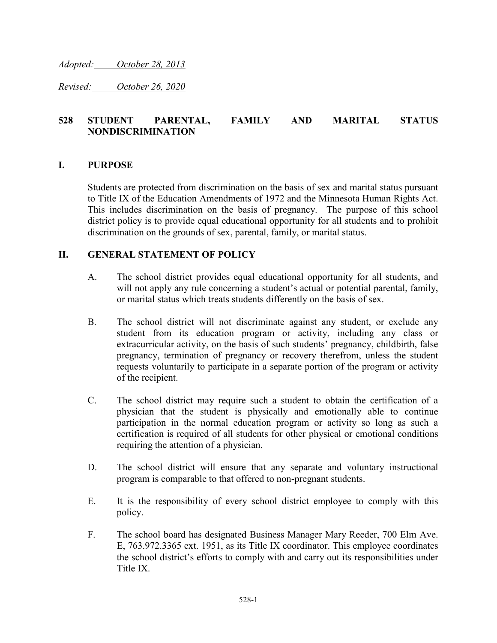*Adopted: October 28, 2013*

*Revised: October 26, 2020*

## **528 STUDENT PARENTAL, FAMILY AND MARITAL STATUS NONDISCRIMINATION**

## **I. PURPOSE**

Students are protected from discrimination on the basis of sex and marital status pursuant to Title IX of the Education Amendments of 1972 and the Minnesota Human Rights Act. This includes discrimination on the basis of pregnancy. The purpose of this school district policy is to provide equal educational opportunity for all students and to prohibit discrimination on the grounds of sex, parental, family, or marital status.

## **II. GENERAL STATEMENT OF POLICY**

- A. The school district provides equal educational opportunity for all students, and will not apply any rule concerning a student's actual or potential parental, family, or marital status which treats students differently on the basis of sex.
- B. The school district will not discriminate against any student, or exclude any student from its education program or activity, including any class or extracurricular activity, on the basis of such students' pregnancy, childbirth, false pregnancy, termination of pregnancy or recovery therefrom, unless the student requests voluntarily to participate in a separate portion of the program or activity of the recipient.
- C. The school district may require such a student to obtain the certification of a physician that the student is physically and emotionally able to continue participation in the normal education program or activity so long as such a certification is required of all students for other physical or emotional conditions requiring the attention of a physician.
- D. The school district will ensure that any separate and voluntary instructional program is comparable to that offered to non-pregnant students.
- E. It is the responsibility of every school district employee to comply with this policy.
- F. The school board has designated Business Manager Mary Reeder, 700 Elm Ave. E, 763.972.3365 ext. 1951, as its Title IX coordinator. This employee coordinates the school district's efforts to comply with and carry out its responsibilities under Title IX.